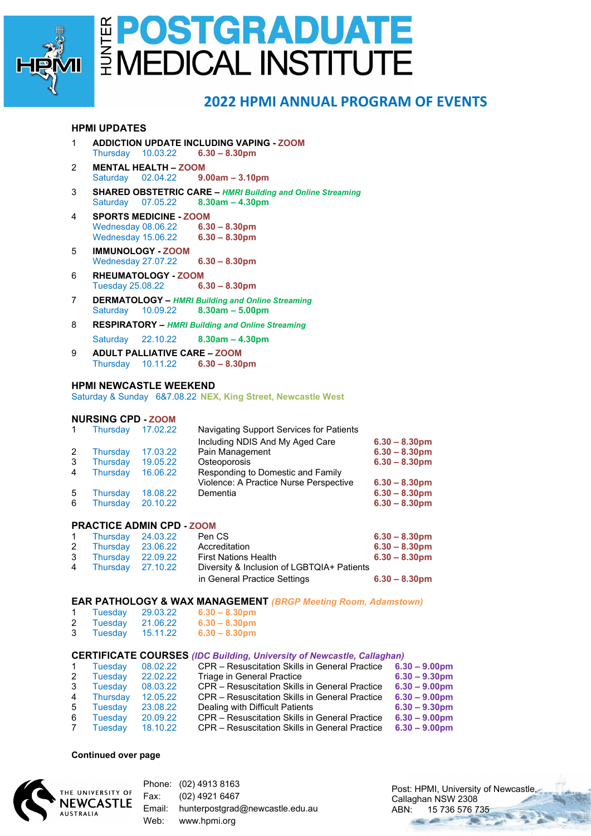

## E POSTGRADUATE

### **2022 HPMI ANNUAL PROGRAM OF EVENTS**

#### **HPMI UPDATES**

- 1 **ADDICTION UPDATE INCLUDING VAPING - ZOOM** Thursday 10.03.22 **6.30 – 8.30pm**
- 2 **MENTAL HEALTH – ZOOM** Saturday 02.04.22 **9.00am – 3.10pm**
- 3 **SHARED OBSTETRIC CARE –** *HMRI Building and Online Streaming* Saturday 07.05.22 **8.30am – 4.30pm**
- 4 **SPORTS MEDICINE - ZOOM** Wednesday 08.06.22 **6.30 – 8.30pm** Wednesday 15.06.22 **6.30 – 8.30pm**
- 5 **IMMUNOLOGY - ZOOM** Wednesday 27.07.22 **6.30 – 8.30pm**
- 6 **RHEUMATOLOGY - ZOOM** Tuesday 25.08.22 **6.30 – 8.30pm**
- 7 **DERMATOLOGY –** *HMRI Building and Online Streaming* Saturday 10.09.22 **8.30am – 5.00pm**
- 8 **RESPIRATORY –** *HMRI Building and Online Streaming* Saturday 22.10.22 **8.30am – 4.30pm**
- 9 **ADULT PALLIATIVE CARE – ZOOM** Thursday 10.11.22 **6.30 – 8.30pm**

#### **HPMI NEWCASTLE WEEKEND**

Saturday & Sunday 6&7.08.22 **NEX, King Street, Newcastle West**

#### **NURSING CPD - ZOOM**

|   | Thursdav        | 17.02.22 | Navigating Support Services for Patients |                  |
|---|-----------------|----------|------------------------------------------|------------------|
|   |                 |          | Including NDIS And My Aged Care          | $6.30 - 8.30$ pm |
| 2 | Thursday        | 17.03.22 | Pain Management                          | $6.30 - 8.30$ pm |
| 3 | <b>Thursday</b> | 19.05.22 | Osteoporosis                             | $6.30 - 8.30$ pm |
| 4 | <b>Thursday</b> | 16.06.22 | Responding to Domestic and Family        |                  |
|   |                 |          | Violence: A Practice Nurse Perspective   | $6.30 - 8.30$ pm |
| 5 | Thursday        | 18.08.22 | Dementia                                 | $6.30 - 8.30$ pm |
| 6 | <b>Thursdav</b> | 20.10.22 |                                          | $6.30 - 8.30$ pm |

#### **PRACTICE ADMIN CPD - ZOOM**

| 1 Thursday 24.03.22 | Pen CS                                     | $6.30 - 8.30$ pm |
|---------------------|--------------------------------------------|------------------|
| 2 Thursday 23.06.22 | Accreditation                              | $6.30 - 8.30$ pm |
| 3 Thursday 22.09.22 | <b>First Nations Health</b>                | $6.30 - 8.30$ pm |
| 4 Thursday 27.10.22 | Diversity & Inclusion of LGBTQIA+ Patients |                  |
|                     | in General Practice Settings               | $6.30 - 8.30$ pm |

#### **EAR PATHOLOGY & WAX MANAGEMENT** *(BRGP Meeting Room, Adamstown)*

|   | Tuesdav | 29.03.22 | $6.30 - 8.30$ pm |
|---|---------|----------|------------------|
| 2 | Tuesdav | 21.06.22 | $6.30 - 8.30$ pm |

3 Tuesday 15.11.22 **6.30 – 8.30pm**

#### **CERTIFICATE COURSES** *(IDC Building, University of Newcastle, Callaghan)*

| <b>Tuesday</b> | 08.02.22 | CPR - Resuscitation Skills in General Practice | $6.30 - 9.00$ pm |
|----------------|----------|------------------------------------------------|------------------|
| Tuesday        | 22.02.22 | Triage in General Practice                     | $6.30 - 9.30$ pm |
| Tuesdav        | 08.03.22 | CPR - Resuscitation Skills in General Practice | $6.30 - 9.00$ pm |
| Thursday       | 12.05.22 | CPR - Resuscitation Skills in General Practice | $6.30 - 9.00$ pm |
| Tuesday        | 23.08.22 | Dealing with Difficult Patients                | $6.30 - 9.30$ pm |
| Tuesday        | 20.09.22 | CPR - Resuscitation Skills in General Practice | $6.30 - 9.00$ pm |
| <b>Tuesday</b> | 18.10.22 | CPR - Resuscitation Skills in General Practice | $6.30 - 9.00$ pm |
|                |          |                                                |                  |

#### **Continued over page**



Phone: (02) 4913 8163 Fax: (02) 4921 6467 Email: hunterpostgrad@newcastle.edu.au Web: www.hpmi.org

Post: HPMI, University of Newcastle. Callaghan NSW 2308 ABN: 15 736 576 735